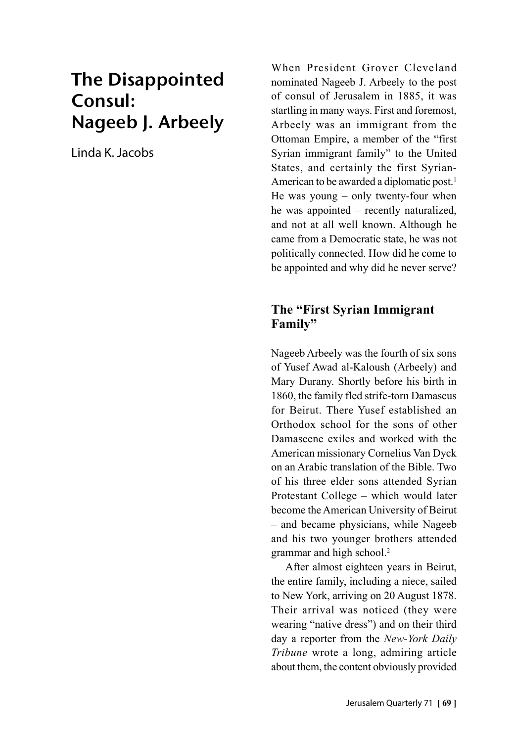# The Disappointed Consul: Nageeb J. Arbeely

Linda K. Jacobs

When President Grover Cleveland nominated Nageeb J. Arbeely to the post of consul of Jerusalem in 1885, it was startling in many ways. First and foremost, Arbeely was an immigrant from the Ottoman Empire, a member of the "first Syrian immigrant family" to the United States, and certainly the first Syrian-American to be awarded a diplomatic post.<sup>1</sup> He was young – only twenty-four when he was appointed – recently naturalized, and not at all well known. Although he came from a Democratic state, he was not politically connected. How did he come to be appointed and why did he never serve?

### **The "First Syrian Immigrant Family"**

Nageeb Arbeely was the fourth of six sons of Yusef Awad al-Kaloush (Arbeely) and Mary Durany. Shortly before his birth in 1860, the family fled strife-torn Damascus for Beirut. There Yusef established an Orthodox school for the sons of other Damascene exiles and worked with the American missionary Cornelius Van Dyck on an Arabic translation of the Bible. Two of his three elder sons attended Syrian Protestant College – which would later become the American University of Beirut – and became physicians, while Nageeb and his two younger brothers attended grammar and high school.<sup>2</sup>

After almost eighteen years in Beirut, the entire family, including a niece, sailed to New York, arriving on 20 August 1878. Their arrival was noticed (they were wearing "native dress") and on their third day a reporter from the *New-York Daily Tribune* wrote a long, admiring article about them, the content obviously provided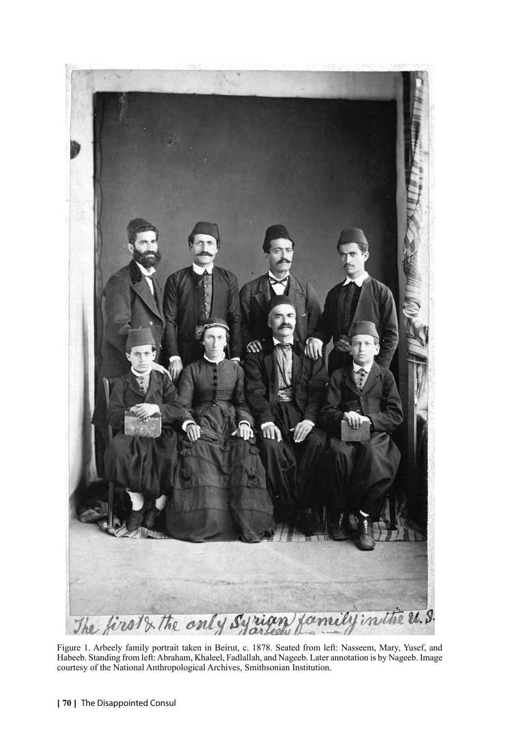

Figure 1. Arbeely family portrait taken in Beirut, c. 1878. Seated from left: Nasseem, Mary, Yusef, and Habeeb. Standing from left: Abraham, Khaleel, Fadlallah, and Nageeb. Later annotation is by Nageeb. Image courtesy of the National Anthropological Archives, Smithsonian Institution.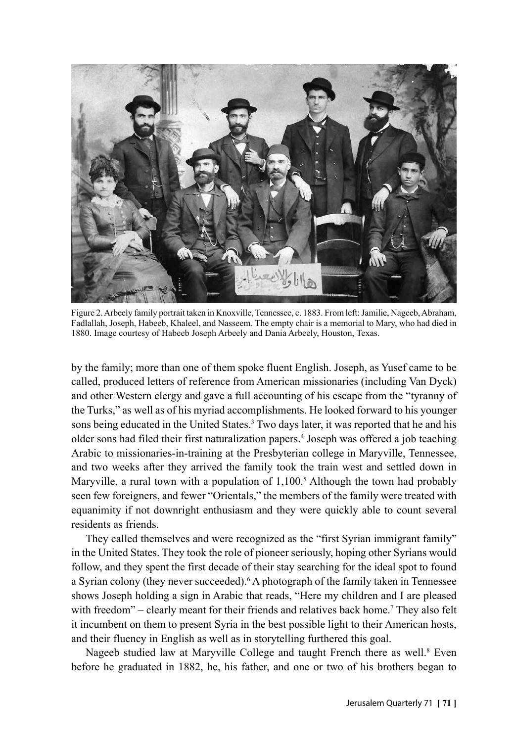

Figure 2. Arbeely family portrait taken in Knoxville, Tennessee, c. 1883. From left: Jamilie, Nageeb, Abraham, Fadlallah, Joseph, Habeeb, Khaleel, and Nasseem. The empty chair is a memorial to Mary, who had died in 1880. Image courtesy of Habeeb Joseph Arbeely and Dania Arbeely, Houston, Texas.

by the family; more than one of them spoke fluent English. Joseph, as Yusef came to be called, produced letters of reference from American missionaries (including Van Dyck) and other Western clergy and gave a full accounting of his escape from the "tyranny of the Turks," as well as of his myriad accomplishments. He looked forward to his younger sons being educated in the United States.<sup>3</sup> Two days later, it was reported that he and his older sons had filed their first naturalization papers.<sup>4</sup> Joseph was offered a job teaching Arabic to missionaries-in-training at the Presbyterian college in Maryville, Tennessee, and two weeks after they arrived the family took the train west and settled down in Maryville, a rural town with a population of  $1,100$ .<sup>5</sup> Although the town had probably seen few foreigners, and fewer "Orientals," the members of the family were treated with equanimity if not downright enthusiasm and they were quickly able to count several residents as friends.

They called themselves and were recognized as the "first Syrian immigrant family" in the United States. They took the role of pioneer seriously, hoping other Syrians would follow, and they spent the first decade of their stay searching for the ideal spot to found a Syrian colony (they never succeeded).<sup>6</sup> A photograph of the family taken in Tennessee shows Joseph holding a sign in Arabic that reads, "Here my children and I are pleased with freedom" – clearly meant for their friends and relatives back home.<sup>7</sup> They also felt it incumbent on them to present Syria in the best possible light to their American hosts, and their fluency in English as well as in storytelling furthered this goal.

Nageeb studied law at Maryville College and taught French there as well.<sup>8</sup> Even before he graduated in 1882, he, his father, and one or two of his brothers began to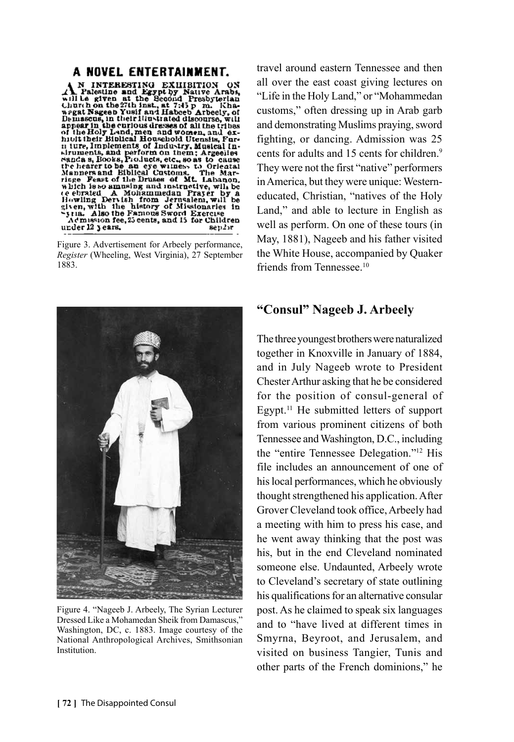#### A NOVEL ENTERTAINMENT.

A NOVEL ENTERTAINMENT.<br>
A NINTERESTING EXIIIBITION ON<br>
The signen at the Second Presbyterian<br>
while and the state of the Second Presbyterian<br>
when the second Presbyterian<br>
when the second of the second pressure of<br>
the Bo under 12 years. sep.or

Figure 3. Advertisement for Arbeely performance, *Register* (Wheeling, West Virginia), 27 September 1883.



Figure 4. "Nageeb J. Arbeely, The Syrian Lecturer Dressed Like a Mohamedan Sheik from Damascus," Washington, DC, c. 1883. Image courtesy of the National Anthropological Archives, Smithsonian Institution.

travel around eastern Tennessee and then all over the east coast giving lectures on "Life in the Holy Land," or "Mohammedan customs," often dressing up in Arab garb and demonstrating Muslims praying, sword fighting, or dancing. Admission was 25 cents for adults and 15 cents for children.<sup>9</sup> They were not the first "native" performers in America, but they were unique: Westerneducated, Christian, "natives of the Holy Land," and able to lecture in English as well as perform. On one of these tours (in May, 1881), Nageeb and his father visited the White House, accompanied by Quaker friends from Tennessee<sup>10</sup>

#### **"Consul" Nageeb J. Arbeely**

The three youngest brothers were naturalized together in Knoxville in January of 1884, and in July Nageeb wrote to President Chester Arthur asking that he be considered for the position of consul-general of Egypt.11 He submitted letters of support from various prominent citizens of both Tennessee and Washington, D.C., including the "entire Tennessee Delegation."12 His file includes an announcement of one of his local performances, which he obviously thought strengthened his application. After Grover Cleveland took office, Arbeely had a meeting with him to press his case, and he went away thinking that the post was his, but in the end Cleveland nominated someone else. Undaunted, Arbeely wrote to Cleveland's secretary of state outlining his qualifications for an alternative consular post. As he claimed to speak six languages and to "have lived at different times in Smyrna, Beyroot, and Jerusalem, and visited on business Tangier, Tunis and other parts of the French dominions," he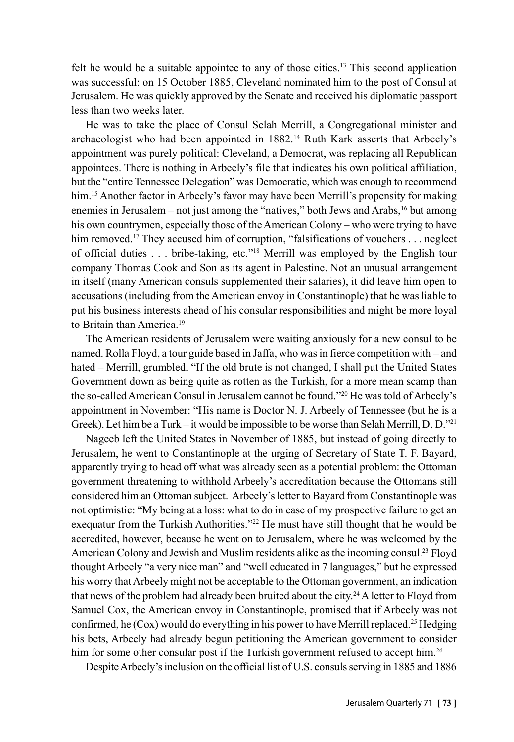felt he would be a suitable appointee to any of those cities.<sup>13</sup> This second application was successful: on 15 October 1885, Cleveland nominated him to the post of Consul at Jerusalem. He was quickly approved by the Senate and received his diplomatic passport less than two weeks later.

He was to take the place of Consul Selah Merrill, a Congregational minister and archaeologist who had been appointed in 1882.14 Ruth Kark asserts that Arbeely's appointment was purely political: Cleveland, a Democrat, was replacing all Republican appointees. There is nothing in Arbeely's file that indicates his own political affiliation, but the "entire Tennessee Delegation" was Democratic, which was enough to recommend him.<sup>15</sup> Another factor in Arbeely's favor may have been Merrill's propensity for making enemies in Jerusalem – not just among the "natives," both Jews and Arabs, $16$  but among his own countrymen, especially those of the American Colony – who were trying to have him removed.<sup>17</sup> They accused him of corruption, "falsifications of vouchers . . . neglect of official duties . . . bribe-taking, etc."18 Merrill was employed by the English tour company Thomas Cook and Son as its agent in Palestine. Not an unusual arrangement in itself (many American consuls supplemented their salaries), it did leave him open to accusations (including from the American envoy in Constantinople) that he was liable to put his business interests ahead of his consular responsibilities and might be more loyal to Britain than America.<sup>19</sup>

The American residents of Jerusalem were waiting anxiously for a new consul to be named. Rolla Floyd, a tour guide based in Jaffa, who was in fierce competition with – and hated – Merrill, grumbled, "If the old brute is not changed, I shall put the United States Government down as being quite as rotten as the Turkish, for a more mean scamp than the so-called American Consul in Jerusalem cannot be found."20 He was told of Arbeely's appointment in November: "His name is Doctor N. J. Arbeely of Tennessee (but he is a Greek). Let him be a Turk – it would be impossible to be worse than Selah Merrill, D. D."21

Nageeb left the United States in November of 1885, but instead of going directly to Jerusalem, he went to Constantinople at the urging of Secretary of State T. F. Bayard, apparently trying to head off what was already seen as a potential problem: the Ottoman government threatening to withhold Arbeely's accreditation because the Ottomans still considered him an Ottoman subject. Arbeely's letter to Bayard from Constantinople was not optimistic: "My being at a loss: what to do in case of my prospective failure to get an exequatur from the Turkish Authorities."<sup>22</sup> He must have still thought that he would be accredited, however, because he went on to Jerusalem, where he was welcomed by the American Colony and Jewish and Muslim residents alike as the incoming consul.23 Floyd thought Arbeely "a very nice man" and "well educated in 7 languages," but he expressed his worry that Arbeely might not be acceptable to the Ottoman government, an indication that news of the problem had already been bruited about the city.<sup>24</sup> A letter to Floyd from Samuel Cox, the American envoy in Constantinople, promised that if Arbeely was not confirmed, he  $(Cox)$  would do everything in his power to have Merrill replaced.<sup>25</sup> Hedging his bets, Arbeely had already begun petitioning the American government to consider him for some other consular post if the Turkish government refused to accept him.<sup>26</sup>

Despite Arbeely's inclusion on the official list of U.S. consuls serving in 1885 and 1886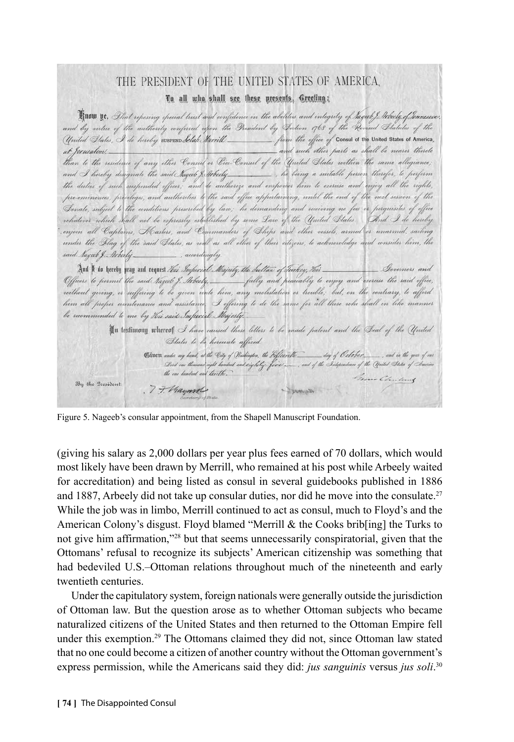## THE PRESIDENT OF THE UNITED STATES OF AMERICA. To all who shall see these presents, Greeting;

Finow ye, Phat repesing special trust and confidence in the abilities and integrity of hages & Interly of Tennessee. and by virtue of the authority conferred upon the President by Section 1768 of the Revised Statutes of the from the office of Consul of the United States of America, United States, I de hereby SUSPEND Selah Merrill at Jorusalem. \_ and such other parts as shall be nearer thereto than to the residence of any other Consul or Vice-Consul of the United States within the same allegiance; and I hereby designate the said Nagerb J. Arbecly he being a suitable person therefor, to perform the duties of such suspended offices; and do authorize and empower him to exercise and enjoy all the rights, pre-eminences, privileges, and authorities to the said office apportaining, until the end of the next session of the Senale, subject to the cenditions prescribed by law; he demanding and receiving ne fees or perquisites of office whatever which shall not be expressly established by some Law of the United States. And I de hereby enjein all Captains, Masters, and Commanders of Ships and other vessels, armed er unarmed, sailing under the Blag of the said States, as well as all other of their citizens, to acknowledge and consider him, the said Ragar J. Arberly-, accordingly. And N do hereby pray and request *this Imposial Majedy, the Sultan of Turkey, This* Governors and Officers' to permit the said *tage* of Ikbeety, \_\_\_\_\_ fully and peacably to enjoy and curcise the said effice,<br>without giving, or suffering to be given unte him, any melestation or trouble, but, en the contrary, to afford him all proper countenance and assistance; I offering to de the same for all those who shall in like manner be recommended to me by His said Imperial Majesty. In testimony whereof I have caused these letters to be made patent and the Beal of the United States to be hereunto affixed.

Civer under my hand, at the City of Washington, the Fifteeritte\_day of October\_, and in the year of car . Levil am theosamt cight handred and eigheby fixed soon, and of the Integrationa of the United States of America<br>the am handred and electebes. Grove Charleng By the President: 77. Hayman - Youngh -

Figure 5. Nageeb's consular appointment, from the Shapell Manuscript Foundation.

(giving his salary as 2,000 dollars per year plus fees earned of 70 dollars, which would most likely have been drawn by Merrill, who remained at his post while Arbeely waited for accreditation) and being listed as consul in several guidebooks published in 1886 and 1887, Arbeely did not take up consular duties, nor did he move into the consulate.<sup>27</sup> While the job was in limbo, Merrill continued to act as consul, much to Floyd's and the American Colony's disgust. Floyd blamed "Merrill & the Cooks brib[ing] the Turks to not give him affirmation,"28 but that seems unnecessarily conspiratorial, given that the Ottomans' refusal to recognize its subjects' American citizenship was something that had bedeviled U.S.–Ottoman relations throughout much of the nineteenth and early twentieth centuries.

Under the capitulatory system, foreign nationals were generally outside the jurisdiction of Ottoman law. But the question arose as to whether Ottoman subjects who became naturalized citizens of the United States and then returned to the Ottoman Empire fell under this exemption.29 The Ottomans claimed they did not, since Ottoman law stated that no one could become a citizen of another country without the Ottoman government's express permission, while the Americans said they did: *jus sanguinis* versus *jus soli*. 30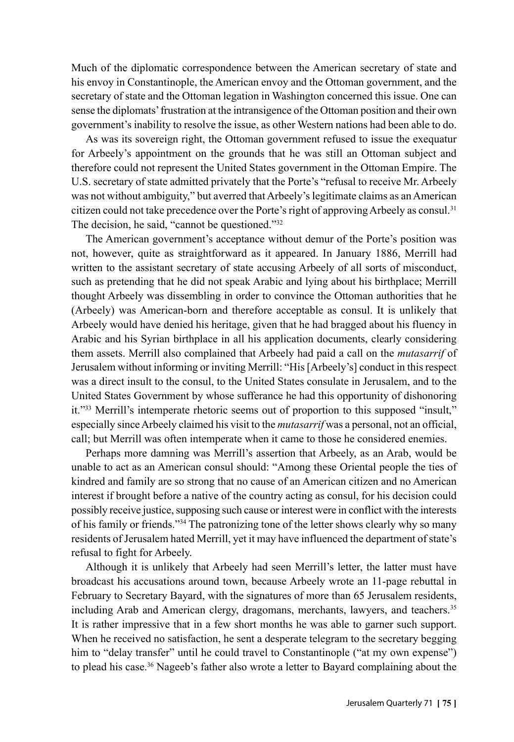Much of the diplomatic correspondence between the American secretary of state and his envoy in Constantinople, the American envoy and the Ottoman government, and the secretary of state and the Ottoman legation in Washington concerned this issue. One can sense the diplomats' frustration at the intransigence of the Ottoman position and their own government's inability to resolve the issue, as other Western nations had been able to do.

As was its sovereign right, the Ottoman government refused to issue the exequatur for Arbeely's appointment on the grounds that he was still an Ottoman subject and therefore could not represent the United States government in the Ottoman Empire. The U.S. secretary of state admitted privately that the Porte's "refusal to receive Mr. Arbeely was not without ambiguity," but averred that Arbeely's legitimate claims as an American citizen could not take precedence over the Porte's right of approving Arbeely as consul.<sup>31</sup> The decision, he said, "cannot be questioned."<sup>32</sup>

The American government's acceptance without demur of the Porte's position was not, however, quite as straightforward as it appeared. In January 1886, Merrill had written to the assistant secretary of state accusing Arbeely of all sorts of misconduct, such as pretending that he did not speak Arabic and lying about his birthplace; Merrill thought Arbeely was dissembling in order to convince the Ottoman authorities that he (Arbeely) was American-born and therefore acceptable as consul. It is unlikely that Arbeely would have denied his heritage, given that he had bragged about his fluency in Arabic and his Syrian birthplace in all his application documents, clearly considering them assets. Merrill also complained that Arbeely had paid a call on the *mutasarrif* of Jerusalem without informing or inviting Merrill: "His [Arbeely's] conduct in this respect was a direct insult to the consul, to the United States consulate in Jerusalem, and to the United States Government by whose sufferance he had this opportunity of dishonoring it."33 Merrill's intemperate rhetoric seems out of proportion to this supposed "insult," especially since Arbeely claimed his visit to the *mutasarrif* was a personal, not an official, call; but Merrill was often intemperate when it came to those he considered enemies.

Perhaps more damning was Merrill's assertion that Arbeely, as an Arab, would be unable to act as an American consul should: "Among these Oriental people the ties of kindred and family are so strong that no cause of an American citizen and no American interest if brought before a native of the country acting as consul, for his decision could possibly receive justice, supposing such cause or interest were in conflict with the interests of his family or friends."34 The patronizing tone of the letter shows clearly why so many residents of Jerusalem hated Merrill, yet it may have influenced the department of state's refusal to fight for Arbeely.

Although it is unlikely that Arbeely had seen Merrill's letter, the latter must have broadcast his accusations around town, because Arbeely wrote an 11-page rebuttal in February to Secretary Bayard, with the signatures of more than 65 Jerusalem residents, including Arab and American clergy, dragomans, merchants, lawyers, and teachers.<sup>35</sup> It is rather impressive that in a few short months he was able to garner such support. When he received no satisfaction, he sent a desperate telegram to the secretary begging him to "delay transfer" until he could travel to Constantinople ("at my own expense") to plead his case.36 Nageeb's father also wrote a letter to Bayard complaining about the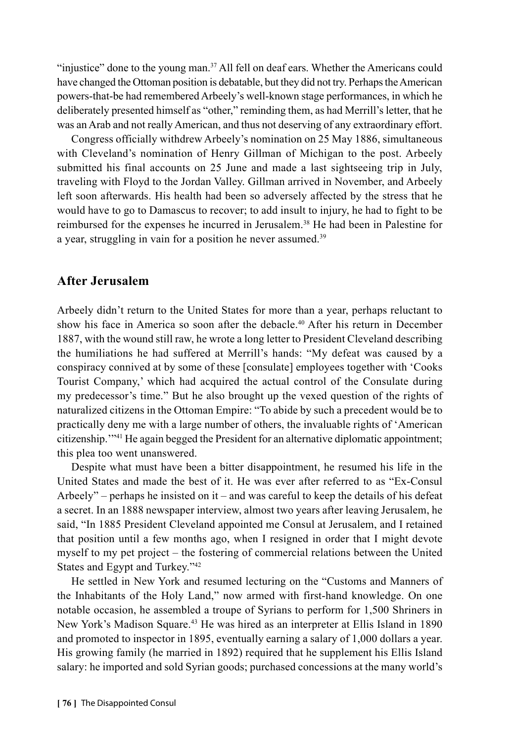"injustice" done to the young man.37 All fell on deaf ears. Whether the Americans could have changed the Ottoman position is debatable, but they did not try. Perhaps the American powers-that-be had remembered Arbeely's well-known stage performances, in which he deliberately presented himself as "other," reminding them, as had Merrill's letter, that he was an Arab and not really American, and thus not deserving of any extraordinary effort.

Congress officially withdrew Arbeely's nomination on 25 May 1886, simultaneous with Cleveland's nomination of Henry Gillman of Michigan to the post. Arbeely submitted his final accounts on 25 June and made a last sightseeing trip in July, traveling with Floyd to the Jordan Valley. Gillman arrived in November, and Arbeely left soon afterwards. His health had been so adversely affected by the stress that he would have to go to Damascus to recover; to add insult to injury, he had to fight to be reimbursed for the expenses he incurred in Jerusalem.38 He had been in Palestine for a year, struggling in vain for a position he never assumed.<sup>39</sup>

#### **After Jerusalem**

Arbeely didn't return to the United States for more than a year, perhaps reluctant to show his face in America so soon after the debacle.40 After his return in December 1887, with the wound still raw, he wrote a long letter to President Cleveland describing the humiliations he had suffered at Merrill's hands: "My defeat was caused by a conspiracy connived at by some of these [consulate] employees together with 'Cooks Tourist Company,' which had acquired the actual control of the Consulate during my predecessor's time." But he also brought up the vexed question of the rights of naturalized citizens in the Ottoman Empire: "To abide by such a precedent would be to practically deny me with a large number of others, the invaluable rights of 'American citizenship.'"41 He again begged the President for an alternative diplomatic appointment; this plea too went unanswered.

Despite what must have been a bitter disappointment, he resumed his life in the United States and made the best of it. He was ever after referred to as "Ex-Consul Arbeely" – perhaps he insisted on it – and was careful to keep the details of his defeat a secret. In an 1888 newspaper interview, almost two years after leaving Jerusalem, he said, "In 1885 President Cleveland appointed me Consul at Jerusalem, and I retained that position until a few months ago, when I resigned in order that I might devote myself to my pet project – the fostering of commercial relations between the United States and Egypt and Turkey."42

He settled in New York and resumed lecturing on the "Customs and Manners of the Inhabitants of the Holy Land," now armed with first-hand knowledge. On one notable occasion, he assembled a troupe of Syrians to perform for 1,500 Shriners in New York's Madison Square.<sup>43</sup> He was hired as an interpreter at Ellis Island in 1890 and promoted to inspector in 1895, eventually earning a salary of 1,000 dollars a year. His growing family (he married in 1892) required that he supplement his Ellis Island salary: he imported and sold Syrian goods; purchased concessions at the many world's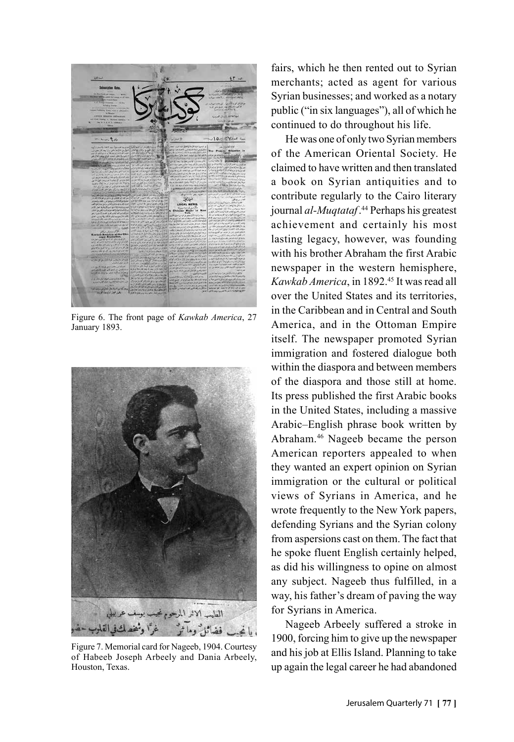

Figure 6. The front page of *Kawkab America*, 27 January 1893.



Figure 7. Memorial card for Nageeb, 1904. Courtesy of Habeeb Joseph Arbeely and Dania Arbeely, Houston, Texas.

fairs, which he then rented out to Syrian merchants; acted as agent for various Syrian businesses; and worked as a notary public ("in six languages"), all of which he continued to do throughout his life.

He was one of only two Syrian members of the American Oriental Society. He claimed to have written and then translated a book on Syrian antiquities and to contribute regularly to the Cairo literary journal *al-Muqtataf*. 44 Perhaps his greatest achievement and certainly his most lasting legacy, however, was founding with his brother Abraham the first Arabic newspaper in the western hemisphere, *Kawkab America*, in 1892.<sup>45</sup> It was read all over the United States and its territories, in the Caribbean and in Central and South America, and in the Ottoman Empire itself. The newspaper promoted Syrian immigration and fostered dialogue both within the diaspora and between members of the diaspora and those still at home. Its press published the first Arabic books in the United States, including a massive Arabic–English phrase book written by Abraham.46 Nageeb became the person American reporters appealed to when they wanted an expert opinion on Syrian immigration or the cultural or political views of Syrians in America, and he wrote frequently to the New York papers, defending Syrians and the Syrian colony from aspersions cast on them. The fact that he spoke fluent English certainly helped, as did his willingness to opine on almost any subject. Nageeb thus fulfilled, in a way, his father's dream of paving the way for Syrians in America.

Nageeb Arbeely suffered a stroke in 1900, forcing him to give up the newspaper and his job at Ellis Island. Planning to take up again the legal career he had abandoned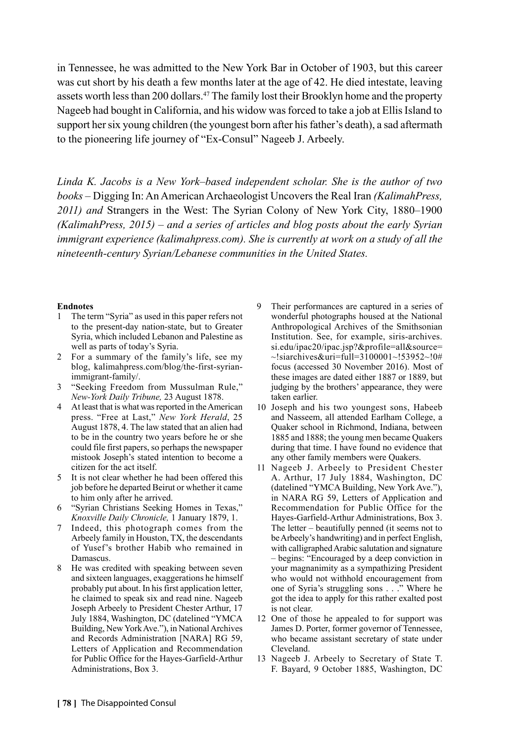in Tennessee, he was admitted to the New York Bar in October of 1903, but this career was cut short by his death a few months later at the age of 42. He died intestate, leaving assets worth less than 200 dollars.<sup>47</sup> The family lost their Brooklyn home and the property Nageeb had bought in California, and his widow was forced to take a job at Ellis Island to support her six young children (the youngest born after his father's death), a sad aftermath to the pioneering life journey of "Ex-Consul" Nageeb J. Arbeely.

*Linda K. Jacobs is a New York–based independent scholar. She is the author of two books –* Digging In: An American Archaeologist Uncovers the Real Iran *(KalimahPress, 2011) and* Strangers in the West: The Syrian Colony of New York City, 1880–1900 *(KalimahPress, 2015) – and a series of articles and blog posts about the early Syrian immigrant experience (kalimahpress.com). She is currently at work on a study of all the nineteenth-century Syrian/Lebanese communities in the United States.*

#### **Endnotes**

- 1 The term "Syria" as used in this paper refers not to the present-day nation-state, but to Greater Syria, which included Lebanon and Palestine as well as parts of today's Syria.
- 2 For a summary of the family's life, see my blog, kalimahpress.com/blog/the-first-syrianimmigrant-family/.
- 3 "Seeking Freedom from Mussulman Rule," *New-York Daily Tribune,* 23 August 1878.
- 4 At least that is what was reported in the American press. "Free at Last," *New York Herald*, 25 August 1878, 4. The law stated that an alien had to be in the country two years before he or she could file first papers, so perhaps the newspaper mistook Joseph's stated intention to become a citizen for the act itself.
- 5 It is not clear whether he had been offered this job before he departed Beirut or whether it came to him only after he arrived.
- 6 "Syrian Christians Seeking Homes in Texas," *Knoxville Daily Chronicle,* 1 January 1879, 1.
- 7 Indeed, this photograph comes from the Arbeely family in Houston, TX, the descendants of Yusef's brother Habib who remained in Damascus.
- 8 He was credited with speaking between seven and sixteen languages, exaggerations he himself probably put about. In his first application letter, he claimed to speak six and read nine. Nageeb Joseph Arbeely to President Chester Arthur, 17 July 1884, Washington, DC (datelined "YMCA Building, New York Ave."), in National Archives and Records Administration [NARA] RG 59, Letters of Application and Recommendation for Public Office for the Hayes-Garfield-Arthur Administrations, Box 3.
- 9 Their performances are captured in a series of wonderful photographs housed at the National Anthropological Archives of the Smithsonian Institution. See, for example, siris-archives. si.edu/ipac20/ipac.jsp?&profile=all&source=  $\sim$ !siarchives&uri=full=3100001~!53952~!0# focus (accessed 30 November 2016). Most of these images are dated either 1887 or 1889, but judging by the brothers' appearance, they were taken earlier.
- 10 Joseph and his two youngest sons, Habeeb and Nasseem, all attended Earlham College, a Quaker school in Richmond, Indiana, between 1885 and 1888; the young men became Quakers during that time. I have found no evidence that any other family members were Quakers.
- 11 Nageeb J. Arbeely to President Chester A. Arthur, 17 July 1884, Washington, DC (datelined "YMCA Building, New York Ave."), in NARA RG 59, Letters of Application and Recommendation for Public Office for the Hayes-Garfield-Arthur Administrations, Box 3. The letter – beautifully penned (it seems not to be Arbeely's handwriting) and in perfect English, with calligraphed Arabic salutation and signature – begins: "Encouraged by a deep conviction in your magnanimity as a sympathizing President who would not withhold encouragement from one of Syria's struggling sons . . ." Where he got the idea to apply for this rather exalted post is not clear.
- 12 One of those he appealed to for support was James D. Porter, former governor of Tennessee, who became assistant secretary of state under Cleveland.
- 13 Nageeb J. Arbeely to Secretary of State T. F. Bayard, 9 October 1885, Washington, DC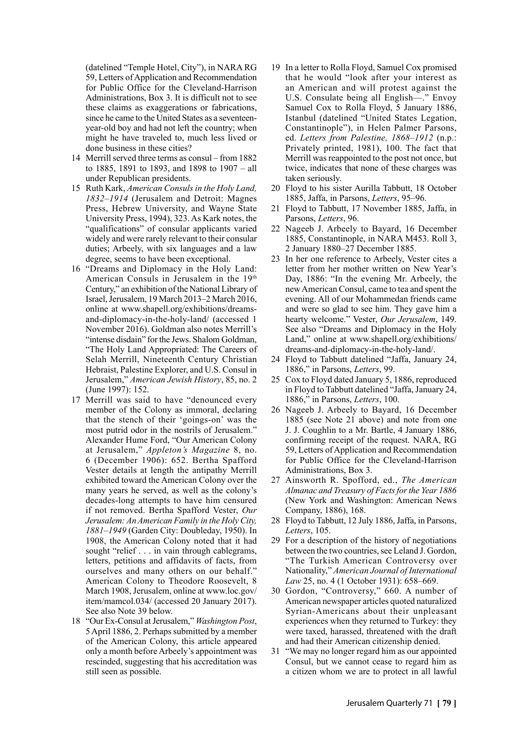(datelined "Temple Hotel, City"), in NARA RG 59, Letters of Application and Recommendation for Public Office for the Cleveland-Harrison Administrations, Box 3. It is difficult not to see these claims as exaggerations or fabrications, since he came to the United States as a seventeenyear-old boy and had not left the country; when might he have traveled to, much less lived or done business in these cities?

- 14 Merrill served three terms as consul from 1882 to 1885, 1891 to 1893, and 1898 to 1907 – all under Republican presidents.
- 15 Ruth Kark, *American Consuls in the Holy Land, 1832–1914* (Jerusalem and Detroit: Magnes Press, Hebrew University, and Wayne State University Press, 1994), 323. As Kark notes, the "qualifications" of consular applicants varied widely and were rarely relevant to their consular duties; Arbeely, with six languages and a law degree, seems to have been exceptional.
- 16 "Dreams and Diplomacy in the Holy Land: American Consuls in Jerusalem in the 19th Century," an exhibition of the National Library of Israel, Jerusalem, 19 March 2013–2 March 2016, online at www.shapell.org/exhibitions/dreamsand-diplomacy-in-the-holy-land/ (accessed 1 November 2016). Goldman also notes Merrill's "intense disdain" for the Jews. Shalom Goldman, "The Holy Land Appropriated: The Careers of Selah Merrill, Nineteenth Century Christian Hebraist, Palestine Explorer, and U.S. Consul in Jerusalem," *American Jewish History*, 85, no. 2 (June 1997): 152.
- 17 Merrill was said to have "denounced every member of the Colony as immoral, declaring that the stench of their 'goings-on' was the most putrid odor in the nostrils of Jerusalem." Alexander Hume Ford, "Our American Colony at Jerusalem," *Appleton's Magazine* 8, no. 6 (December 1906): 652. Bertha Spafford Vester details at length the antipathy Merrill exhibited toward the American Colony over the many years he served, as well as the colony's decades-long attempts to have him censured if not removed. Bertha Spafford Vester, *Our Jerusalem: An American Family in the Holy City, 1881–1949* (Garden City: Doubleday, 1950). In 1908, the American Colony noted that it had sought "relief . . . in vain through cablegrams, letters, petitions and affidavits of facts, from ourselves and many others on our behalf." American Colony to Theodore Roosevelt, 8 March 1908, Jerusalem, online at www.loc.gov/ item/mamcol.034/ (accessed 20 January 2017). See also Note 39 below.
- 18 "Our Ex-Consul at Jerusalem," *Washington Post*, 5 April 1886, 2. Perhaps submitted by a member of the American Colony, this article appeared only a month before Arbeely's appointment was rescinded, suggesting that his accreditation was still seen as possible.
- 19 In a letter to Rolla Floyd, Samuel Cox promised that he would "look after your interest as an American and will protest against the U.S. Consulate being all English—." Envoy Samuel Cox to Rolla Floyd, 5 January 1886, Istanbul (datelined "United States Legation, Constantinople"), in Helen Palmer Parsons, ed. *Letters from Palestine, 1868–1912* (n.p.: Privately printed, 1981), 100. The fact that Merrill was reappointed to the post not once, but twice, indicates that none of these charges was taken seriously.
- 20 Floyd to his sister Aurilla Tabbutt, 18 October 1885, Jaffa, in Parsons, *Letters*, 95–96.
- 21 Floyd to Tabbutt, 17 November 1885, Jaffa, in Parsons, *Letters*, 96.
- 22 Nageeb J. Arbeely to Bayard, 16 December 1885, Constantinople, in NARA M453. Roll 3, 2 January 1880–27 December 1885.
- 23 In her one reference to Arbeely, Vester cites a letter from her mother written on New Year's Day, 1886: "In the evening Mr. Arbeely, the new American Consul, came to tea and spent the evening. All of our Mohammedan friends came and were so glad to see him. They gave him a hearty welcome." Vester, *Our Jerusalem*, 149. See also "Dreams and Diplomacy in the Holy Land," online at www.shapell.org/exhibitions/ dreams-and-diplomacy-in-the-holy-land/.
- 24 Floyd to Tabbutt datelined "Jaffa, January 24, 1886," in Parsons, *Letters*, 99.
- 25 Cox to Floyd dated January 5, 1886, reproduced in Floyd to Tabbutt datelined "Jaffa, January 24, 1886," in Parsons, *Letters*, 100.
- 26 Nageeb J. Arbeely to Bayard, 16 December 1885 (see Note 21 above) and note from one J. J. Coughlin to a Mr. Bartle, 4 January 1886, confirming receipt of the request. NARA, RG 59, Letters of Application and Recommendation for Public Office for the Cleveland-Harrison Administrations, Box 3.
- 27 Ainsworth R. Spofford, ed., *The American Almanac and Treasury of Facts for the Year 1886* (New York and Washington: American News Company, 1886), 168.
- 28 Floyd to Tabbutt, 12 July 1886, Jaffa, in Parsons, *Letters*, 105.
- 29 For a description of the history of negotiations between the two countries, see Leland J. Gordon, "The Turkish American Controversy over Nationality," *American Journal of International Law* 25, no. 4 (1 October 1931): 658–669.
- 30 Gordon, "Controversy," 660. A number of American newspaper articles quoted naturalized Syrian-Americans about their unpleasant experiences when they returned to Turkey: they were taxed, harassed, threatened with the draft and had their American citizenship denied.
- 31 "We may no longer regard him as our appointed Consul, but we cannot cease to regard him as a citizen whom we are to protect in all lawful